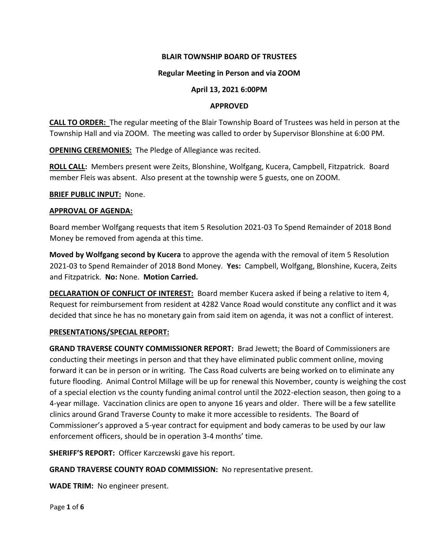## **BLAIR TOWNSHIP BOARD OF TRUSTEES**

## **Regular Meeting in Person and via ZOOM**

# **April 13, 2021 6:00PM**

## **APPROVED**

**CALL TO ORDER:** The regular meeting of the Blair Township Board of Trustees was held in person at the Township Hall and via ZOOM. The meeting was called to order by Supervisor Blonshine at 6:00 PM.

**OPENING CEREMONIES:** The Pledge of Allegiance was recited.

**ROLL CALL:** Members present were Zeits, Blonshine, Wolfgang, Kucera, Campbell, Fitzpatrick. Board member Fleis was absent. Also present at the township were 5 guests, one on ZOOM.

### **BRIEF PUBLIC INPUT:** None.

## **APPROVAL OF AGENDA:**

Board member Wolfgang requests that item 5 Resolution 2021-03 To Spend Remainder of 2018 Bond Money be removed from agenda at this time.

**Moved by Wolfgang second by Kucera** to approve the agenda with the removal of item 5 Resolution 2021-03 to Spend Remainder of 2018 Bond Money. **Yes:** Campbell, Wolfgang, Blonshine, Kucera, Zeits and Fitzpatrick. **No:** None. **Motion Carried.** 

**DECLARATION OF CONFLICT OF INTEREST:** Board member Kucera asked if being a relative to item 4, Request for reimbursement from resident at 4282 Vance Road would constitute any conflict and it was decided that since he has no monetary gain from said item on agenda, it was not a conflict of interest.

## **PRESENTATIONS/SPECIAL REPORT:**

**GRAND TRAVERSE COUNTY COMMISSIONER REPORT:** Brad Jewett; the Board of Commissioners are conducting their meetings in person and that they have eliminated public comment online, moving forward it can be in person or in writing. The Cass Road culverts are being worked on to eliminate any future flooding. Animal Control Millage will be up for renewal this November, county is weighing the cost of a special election vs the county funding animal control until the 2022-election season, then going to a 4-year millage. Vaccination clinics are open to anyone 16 years and older. There will be a few satellite clinics around Grand Traverse County to make it more accessible to residents. The Board of Commissioner's approved a 5-year contract for equipment and body cameras to be used by our law enforcement officers, should be in operation 3-4 months' time.

**SHERIFF'S REPORT:** Officer Karczewski gave his report.

**GRAND TRAVERSE COUNTY ROAD COMMISSION:** No representative present.

**WADE TRIM:** No engineer present.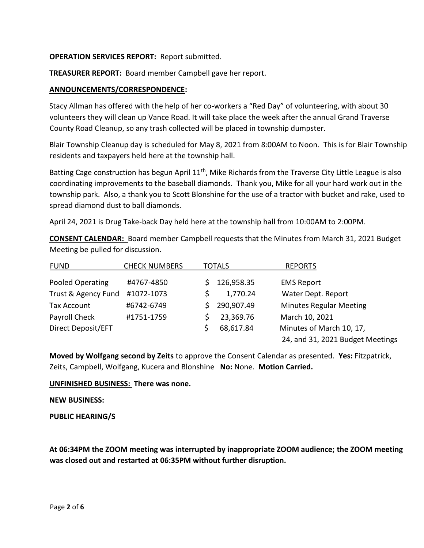## **OPERATION SERVICES REPORT:** Report submitted.

**TREASURER REPORT:** Board member Campbell gave her report.

## **ANNOUNCEMENTS/CORRESPONDENCE:**

Stacy Allman has offered with the help of her co-workers a "Red Day" of volunteering, with about 30 volunteers they will clean up Vance Road. It will take place the week after the annual Grand Traverse County Road Cleanup, so any trash collected will be placed in township dumpster.

Blair Township Cleanup day is scheduled for May 8, 2021 from 8:00AM to Noon. This is for Blair Township residents and taxpayers held here at the township hall.

Batting Cage construction has begun April  $11<sup>th</sup>$ , Mike Richards from the Traverse City Little League is also coordinating improvements to the baseball diamonds. Thank you, Mike for all your hard work out in the township park. Also, a thank you to Scott Blonshine for the use of a tractor with bucket and rake, used to spread diamond dust to ball diamonds.

April 24, 2021 is Drug Take-back Day held here at the township hall from 10:00AM to 2:00PM.

**CONSENT CALENDAR:** Board member Campbell requests that the Minutes from March 31, 2021 Budget Meeting be pulled for discussion.

| <b>FUND</b>         | <b>CHECK NUMBERS</b> | <b>TOTALS</b> |            | <b>REPORTS</b>                   |
|---------------------|----------------------|---------------|------------|----------------------------------|
| Pooled Operating    | #4767-4850           |               | 126,958.35 | <b>EMS Report</b>                |
| Trust & Agency Fund | #1072-1073           |               | 1,770.24   | Water Dept. Report               |
| <b>Tax Account</b>  | #6742-6749           |               | 290,907.49 | <b>Minutes Regular Meeting</b>   |
| Payroll Check       | #1751-1759           |               | 23,369.76  | March 10, 2021                   |
| Direct Deposit/EFT  |                      |               | 68,617.84  | Minutes of March 10, 17,         |
|                     |                      |               |            | 24, and 31, 2021 Budget Meetings |

**Moved by Wolfgang second by Zeits** to approve the Consent Calendar as presented. **Yes:** Fitzpatrick, Zeits, Campbell, Wolfgang, Kucera and Blonshine **No:** None. **Motion Carried.**

### **UNFINISHED BUSINESS: There was none.**

### **NEW BUSINESS:**

### **PUBLIC HEARING/S**

**At 06:34PM the ZOOM meeting was interrupted by inappropriate ZOOM audience; the ZOOM meeting was closed out and restarted at 06:35PM without further disruption.**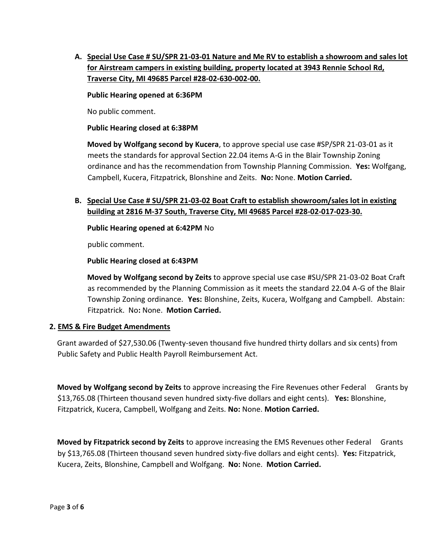**A. Special Use Case # SU/SPR 21-03-01 Nature and Me RV to establish a showroom and sales lot for Airstream campers in existing building, property located at 3943 Rennie School Rd, Traverse City, MI 49685 Parcel #28-02-630-002-00.**

### **Public Hearing opened at 6:36PM**

No public comment.

### **Public Hearing closed at 6:38PM**

**Moved by Wolfgang second by Kucera**, to approve special use case #SP/SPR 21-03-01 as it meets the standards for approval Section 22.04 items A-G in the Blair Township Zoning ordinance and has the recommendation from Township Planning Commission. **Yes:** Wolfgang, Campbell, Kucera, Fitzpatrick, Blonshine and Zeits. **No:** None. **Motion Carried.** 

# **B. Special Use Case # SU/SPR 21-03-02 Boat Craft to establish showroom/sales lot in existing building at 2816 M-37 South, Traverse City, MI 49685 Parcel #28-02-017-023-30.**

**Public Hearing opened at 6:42PM** No

public comment.

**Public Hearing closed at 6:43PM** 

**Moved by Wolfgang second by Zeits** to approve special use case #SU/SPR 21-03-02 Boat Craft as recommended by the Planning Commission as it meets the standard 22.04 A-G of the Blair Township Zoning ordinance. **Yes:** Blonshine, Zeits, Kucera, Wolfgang and Campbell. Abstain: Fitzpatrick. No**:** None. **Motion Carried.** 

## **2. EMS & Fire Budget Amendments**

Grant awarded of \$27,530.06 (Twenty-seven thousand five hundred thirty dollars and six cents) from Public Safety and Public Health Payroll Reimbursement Act.

**Moved by Wolfgang second by Zeits** to approve increasing the Fire Revenues other Federal Grants by \$13,765.08 (Thirteen thousand seven hundred sixty-five dollars and eight cents). **Yes:** Blonshine, Fitzpatrick, Kucera, Campbell, Wolfgang and Zeits. **No:** None. **Motion Carried.** 

**Moved by Fitzpatrick second by Zeits** to approve increasing the EMS Revenues other Federal Grants by \$13,765.08 (Thirteen thousand seven hundred sixty-five dollars and eight cents). **Yes:** Fitzpatrick, Kucera, Zeits, Blonshine, Campbell and Wolfgang. **No:** None. **Motion Carried.**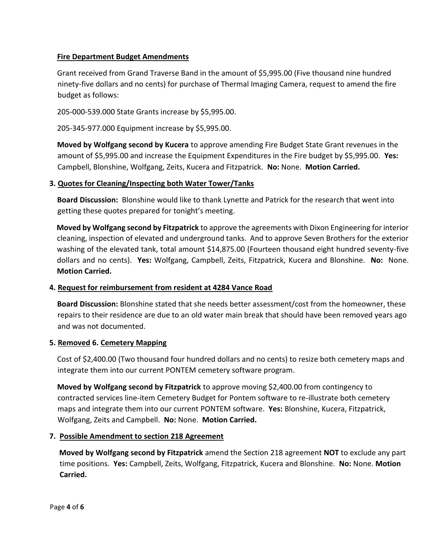# **Fire Department Budget Amendments**

Grant received from Grand Traverse Band in the amount of \$5,995.00 (Five thousand nine hundred ninety-five dollars and no cents) for purchase of Thermal Imaging Camera, request to amend the fire budget as follows:

205-000-539.000 State Grants increase by \$5,995.00.

205-345-977.000 Equipment increase by \$5,995.00.

**Moved by Wolfgang second by Kucera** to approve amending Fire Budget State Grant revenues in the amount of \$5,995.00 and increase the Equipment Expenditures in the Fire budget by \$5,995.00. **Yes:**  Campbell, Blonshine, Wolfgang, Zeits, Kucera and Fitzpatrick. **No:** None. **Motion Carried.** 

## **3. Quotes for Cleaning/Inspecting both Water Tower/Tanks**

**Board Discussion:** Blonshine would like to thank Lynette and Patrick for the research that went into getting these quotes prepared for tonight's meeting.

**Moved by Wolfgang second by Fitzpatrick** to approve the agreements with Dixon Engineering for interior cleaning, inspection of elevated and underground tanks. And to approve Seven Brothers for the exterior washing of the elevated tank, total amount \$14,875.00 (Fourteen thousand eight hundred seventy-five dollars and no cents). **Yes:** Wolfgang, Campbell, Zeits, Fitzpatrick, Kucera and Blonshine. **No:** None. **Motion Carried.** 

## **4. Request for reimbursement from resident at 4284 Vance Road**

**Board Discussion:** Blonshine stated that she needs better assessment/cost from the homeowner, these repairs to their residence are due to an old water main break that should have been removed years ago and was not documented.

## **5. Removed 6. Cemetery Mapping**

Cost of \$2,400.00 (Two thousand four hundred dollars and no cents) to resize both cemetery maps and integrate them into our current PONTEM cemetery software program.

**Moved by Wolfgang second by Fitzpatrick** to approve moving \$2,400.00 from contingency to contracted services line-item Cemetery Budget for Pontem software to re-illustrate both cemetery maps and integrate them into our current PONTEM software. **Yes:** Blonshine, Kucera, Fitzpatrick, Wolfgang, Zeits and Campbell. **No:** None. **Motion Carried.** 

## **7. Possible Amendment to section 218 Agreement**

**Moved by Wolfgang second by Fitzpatrick** amend the Section 218 agreement **NOT** to exclude any part time positions. **Yes:** Campbell, Zeits, Wolfgang, Fitzpatrick, Kucera and Blonshine. **No:** None. **Motion Carried.**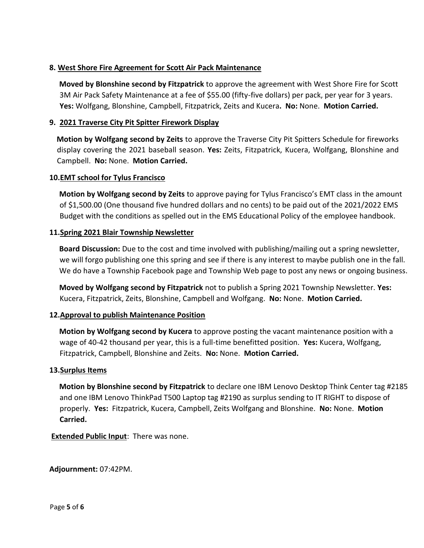# **8. West Shore Fire Agreement for Scott Air Pack Maintenance**

**Moved by Blonshine second by Fitzpatrick** to approve the agreement with West Shore Fire for Scott 3M Air Pack Safety Maintenance at a fee of \$55.00 (fifty-five dollars) per pack, per year for 3 years. **Yes:** Wolfgang, Blonshine, Campbell, Fitzpatrick, Zeits and Kucera**. No:** None. **Motion Carried.** 

# **9. 2021 Traverse City Pit Spitter Firework Display**

**Motion by Wolfgang second by Zeits** to approve the Traverse City Pit Spitters Schedule for fireworks display covering the 2021 baseball season. **Yes:** Zeits, Fitzpatrick, Kucera, Wolfgang, Blonshine and Campbell. **No:** None. **Motion Carried.** 

## **10.EMT school for Tylus Francisco**

**Motion by Wolfgang second by Zeits** to approve paying for Tylus Francisco's EMT class in the amount of \$1,500.00 (One thousand five hundred dollars and no cents) to be paid out of the 2021/2022 EMS Budget with the conditions as spelled out in the EMS Educational Policy of the employee handbook.

## **11.Spring 2021 Blair Township Newsletter**

**Board Discussion:** Due to the cost and time involved with publishing/mailing out a spring newsletter, we will forgo publishing one this spring and see if there is any interest to maybe publish one in the fall. We do have a Township Facebook page and Township Web page to post any news or ongoing business.

**Moved by Wolfgang second by Fitzpatrick** not to publish a Spring 2021 Township Newsletter. **Yes:**  Kucera, Fitzpatrick, Zeits, Blonshine, Campbell and Wolfgang. **No:** None. **Motion Carried.** 

## **12.Approval to publish Maintenance Position**

**Motion by Wolfgang second by Kucera** to approve posting the vacant maintenance position with a wage of 40-42 thousand per year, this is a full-time benefitted position. **Yes:** Kucera, Wolfgang, Fitzpatrick, Campbell, Blonshine and Zeits. **No:** None. **Motion Carried.**

## **13.Surplus Items**

**Motion by Blonshine second by Fitzpatrick** to declare one IBM Lenovo Desktop Think Center tag #2185 and one IBM Lenovo ThinkPad T500 Laptop tag #2190 as surplus sending to IT RIGHT to dispose of properly. **Yes:** Fitzpatrick, Kucera, Campbell, Zeits Wolfgang and Blonshine. **No:** None. **Motion Carried.** 

**Extended Public Input**:There was none.

**Adjournment:** 07:42PM.